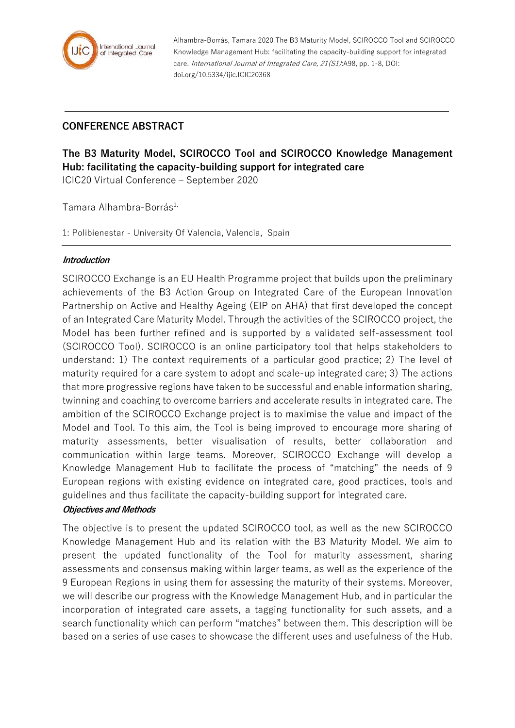

Alhambra-Borrás, Tamara 2020 The B3 Maturity Model, SCIROCCO Tool and SCIROCCO Knowledge Management Hub: facilitating the capacity-building support for integrated care. International Journal of Integrated Care, 21(S1):A98, pp. 1-8, DOI: doi.org/10.5334/ijic.ICIC20368

## **CONFERENCE ABSTRACT**

**The B3 Maturity Model, SCIROCCO Tool and SCIROCCO Knowledge Management Hub: facilitating the capacity-building support for integrated care**

ICIC20 Virtual Conference – September 2020

Tamara Alhambra-Borrás<sup>1,</sup>

1: Polibienestar - University Of Valencia, Valencia, Spain

## **Introduction**

SCIROCCO Exchange is an EU Health Programme project that builds upon the preliminary achievements of the B3 Action Group on Integrated Care of the European Innovation Partnership on Active and Healthy Ageing (EIP on AHA) that first developed the concept of an Integrated Care Maturity Model. Through the activities of the SCIROCCO project, the Model has been further refined and is supported by a validated self-assessment tool (SCIROCCO Tool). SCIROCCO is an online participatory tool that helps stakeholders to understand: 1) The context requirements of a particular good practice; 2) The level of maturity required for a care system to adopt and scale-up integrated care; 3) The actions that more progressive regions have taken to be successful and enable information sharing, twinning and coaching to overcome barriers and accelerate results in integrated care. The ambition of the SCIROCCO Exchange project is to maximise the value and impact of the Model and Tool. To this aim, the Tool is being improved to encourage more sharing of maturity assessments, better visualisation of results, better collaboration and communication within large teams. Moreover, SCIROCCO Exchange will develop a Knowledge Management Hub to facilitate the process of "matching" the needs of 9 European regions with existing evidence on integrated care, good practices, tools and guidelines and thus facilitate the capacity-building support for integrated care.

## **Objectives and Methods**

The objective is to present the updated SCIROCCO tool, as well as the new SCIROCCO Knowledge Management Hub and its relation with the B3 Maturity Model. We aim to present the updated functionality of the Tool for maturity assessment, sharing assessments and consensus making within larger teams, as well as the experience of the 9 European Regions in using them for assessing the maturity of their systems. Moreover, we will describe our progress with the Knowledge Management Hub, and in particular the incorporation of integrated care assets, a tagging functionality for such assets, and a search functionality which can perform "matches" between them. This description will be based on a series of use cases to showcase the different uses and usefulness of the Hub.